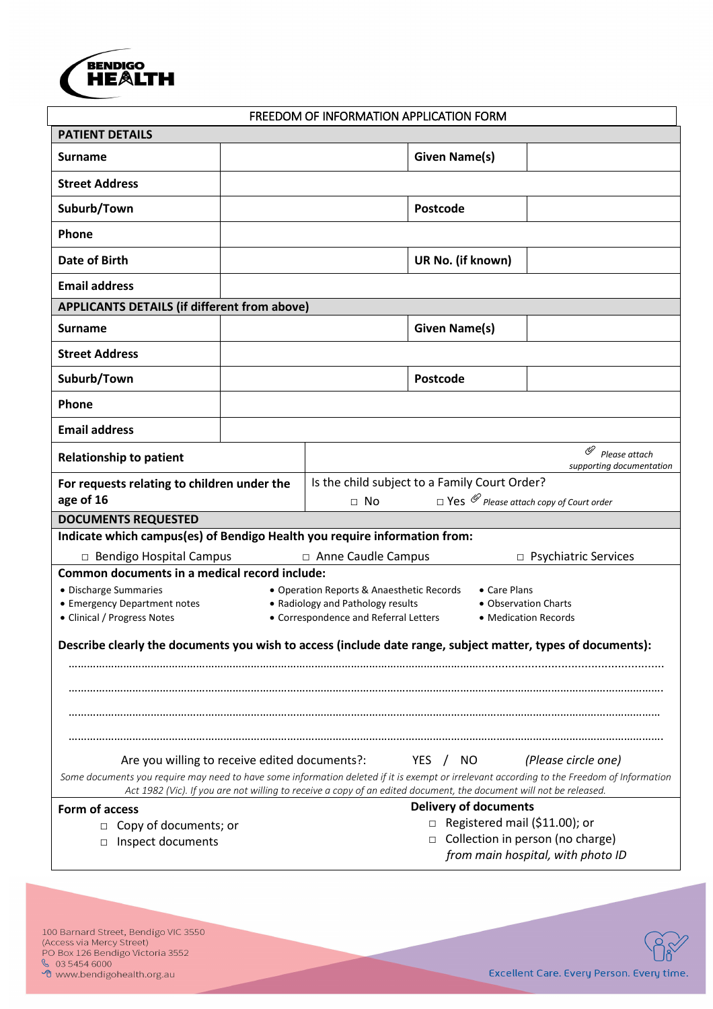

#### FREEDOM OF INFORMATION APPLICATION FORM

| <b>PATIENT DETAILS</b>                                                                                                                                                                                                                                           |                                                                                                                            |                                           |                                                                            |                          |  |  |
|------------------------------------------------------------------------------------------------------------------------------------------------------------------------------------------------------------------------------------------------------------------|----------------------------------------------------------------------------------------------------------------------------|-------------------------------------------|----------------------------------------------------------------------------|--------------------------|--|--|
| <b>Surname</b>                                                                                                                                                                                                                                                   |                                                                                                                            |                                           | <b>Given Name(s)</b>                                                       |                          |  |  |
| <b>Street Address</b>                                                                                                                                                                                                                                            |                                                                                                                            |                                           |                                                                            |                          |  |  |
| Suburb/Town                                                                                                                                                                                                                                                      |                                                                                                                            |                                           | Postcode                                                                   |                          |  |  |
| Phone                                                                                                                                                                                                                                                            |                                                                                                                            |                                           |                                                                            |                          |  |  |
| Date of Birth                                                                                                                                                                                                                                                    |                                                                                                                            |                                           | UR No. (if known)                                                          |                          |  |  |
| <b>Email address</b>                                                                                                                                                                                                                                             |                                                                                                                            |                                           |                                                                            |                          |  |  |
| APPLICANTS DETAILS (if different from above)                                                                                                                                                                                                                     |                                                                                                                            |                                           |                                                                            |                          |  |  |
| Surname                                                                                                                                                                                                                                                          |                                                                                                                            |                                           | <b>Given Name(s)</b>                                                       |                          |  |  |
| <b>Street Address</b>                                                                                                                                                                                                                                            |                                                                                                                            |                                           |                                                                            |                          |  |  |
| Suburb/Town                                                                                                                                                                                                                                                      |                                                                                                                            |                                           | Postcode                                                                   |                          |  |  |
| Phone                                                                                                                                                                                                                                                            |                                                                                                                            |                                           |                                                                            |                          |  |  |
| <b>Email address</b>                                                                                                                                                                                                                                             |                                                                                                                            |                                           |                                                                            |                          |  |  |
| ⋓<br>Please attach<br><b>Relationship to patient</b>                                                                                                                                                                                                             |                                                                                                                            |                                           |                                                                            | supporting documentation |  |  |
| Is the child subject to a Family Court Order?<br>For requests relating to children under the                                                                                                                                                                     |                                                                                                                            |                                           |                                                                            |                          |  |  |
| age of 16                                                                                                                                                                                                                                                        |                                                                                                                            | $\Box$ No                                 | $\Box$ Yes $\mathscr O$ Please attach copy of Court order                  |                          |  |  |
| <b>DOCUMENTS REQUESTED</b><br>Indicate which campus(es) of Bendigo Health you require information from:                                                                                                                                                          |                                                                                                                            |                                           |                                                                            |                          |  |  |
| □ Bendigo Hospital Campus<br>□ Anne Caudle Campus<br>$\Box$ Psychiatric Services                                                                                                                                                                                 |                                                                                                                            |                                           |                                                                            |                          |  |  |
| Common documents in a medical record include:                                                                                                                                                                                                                    |                                                                                                                            |                                           |                                                                            |                          |  |  |
| • Discharge Summaries                                                                                                                                                                                                                                            |                                                                                                                            | • Operation Reports & Anaesthetic Records | • Care Plans                                                               |                          |  |  |
| • Emergency Department notes<br>• Clinical / Progress Notes                                                                                                                                                                                                      | • Radiology and Pathology results<br>• Observation Charts<br>• Correspondence and Referral Letters<br>• Medication Records |                                           |                                                                            |                          |  |  |
|                                                                                                                                                                                                                                                                  |                                                                                                                            |                                           |                                                                            |                          |  |  |
| Describe clearly the documents you wish to access (include date range, subject matter, types of documents):                                                                                                                                                      |                                                                                                                            |                                           |                                                                            |                          |  |  |
|                                                                                                                                                                                                                                                                  |                                                                                                                            |                                           |                                                                            |                          |  |  |
|                                                                                                                                                                                                                                                                  |                                                                                                                            |                                           |                                                                            |                          |  |  |
|                                                                                                                                                                                                                                                                  |                                                                                                                            |                                           |                                                                            |                          |  |  |
|                                                                                                                                                                                                                                                                  |                                                                                                                            |                                           |                                                                            |                          |  |  |
| Are you willing to receive edited documents?:<br>(Please circle one)<br>YES / NO                                                                                                                                                                                 |                                                                                                                            |                                           |                                                                            |                          |  |  |
| Some documents you require may need to have some information deleted if it is exempt or irrelevant according to the Freedom of Information<br>Act 1982 (Vic). If you are not willing to receive a copy of an edited document, the document will not be released. |                                                                                                                            |                                           |                                                                            |                          |  |  |
| <b>Delivery of documents</b><br>Form of access                                                                                                                                                                                                                   |                                                                                                                            |                                           |                                                                            |                          |  |  |
| $\Box$ Copy of documents; or                                                                                                                                                                                                                                     |                                                                                                                            |                                           | $\Box$ Registered mail (\$11.00); or                                       |                          |  |  |
| □ Inspect documents                                                                                                                                                                                                                                              |                                                                                                                            |                                           | Collection in person (no charge)<br>□<br>from main hospital, with photo ID |                          |  |  |
|                                                                                                                                                                                                                                                                  |                                                                                                                            |                                           |                                                                            |                          |  |  |